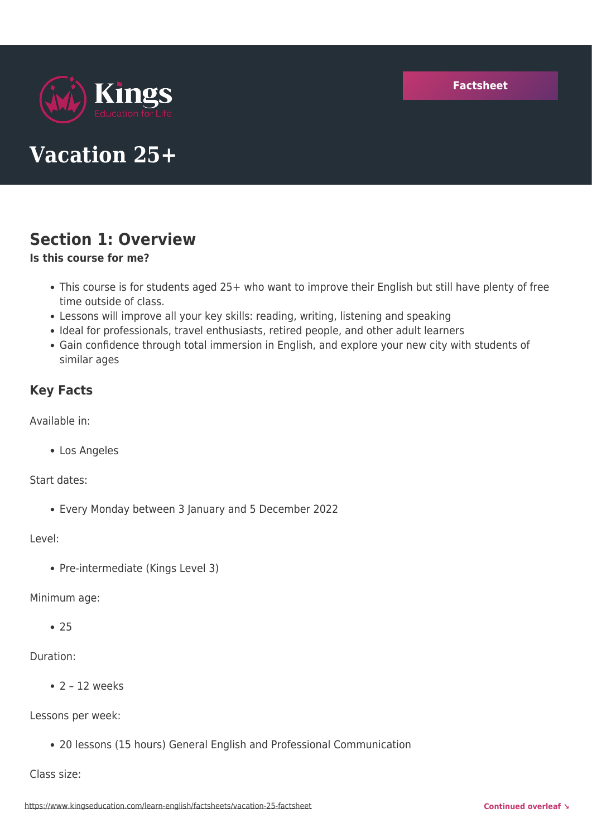

# **Vacation 25+**

# **Section 1: Overview**

#### **Is this course for me?**

- This course is for students aged 25+ who want to improve their English but still have plenty of free time outside of class.
- Lessons will improve all your key skills: reading, writing, listening and speaking
- Ideal for professionals, travel enthusiasts, retired people, and other adult learners
- Gain confidence through total immersion in English, and explore your new city with students of similar ages

### **Key Facts**

Available in:

Los Angeles

Start dates:

Every Monday between 3 January and 5 December 2022

#### Level:

• Pre-intermediate (Kings Level 3)

#### Minimum age:

 $• 25$ 

### Duration:

 $\bullet$  2 - 12 weeks

Lessons per week:

20 lessons (15 hours) General English and Professional Communication

Class size: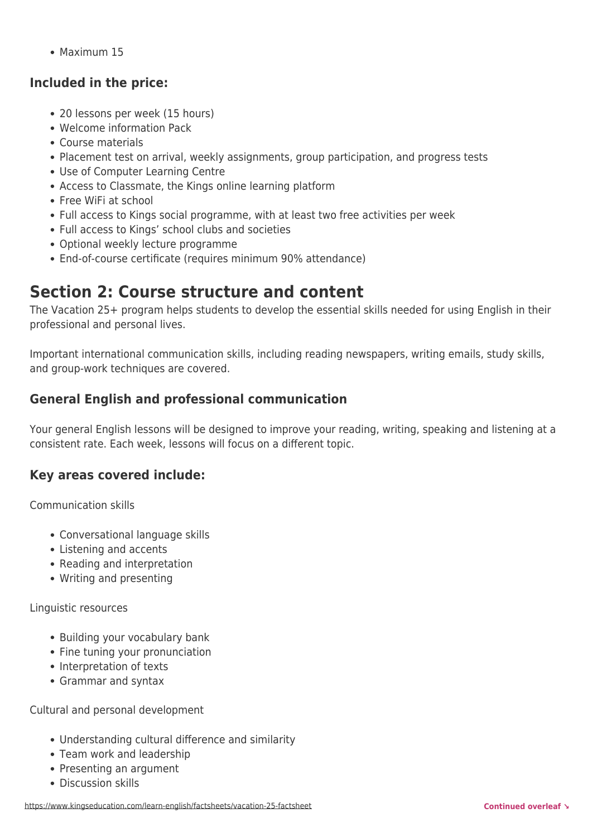Maximum 15

### **Included in the price:**

- 20 lessons per week (15 hours)
- Welcome information Pack
- Course materials
- Placement test on arrival, weekly assignments, group participation, and progress tests
- Use of Computer Learning Centre
- Access to Classmate, the Kings online learning platform
- Free WiFi at school
- Full access to Kings social programme, with at least two free activities per week
- Full access to Kings' school clubs and societies
- Optional weekly lecture programme
- End-of-course certificate (requires minimum 90% attendance)

# **Section 2: Course structure and content**

The Vacation 25+ program helps students to develop the essential skills needed for using English in their professional and personal lives.

Important international communication skills, including reading newspapers, writing emails, study skills, and group-work techniques are covered.

### **General English and professional communication**

Your general English lessons will be designed to improve your reading, writing, speaking and listening at a consistent rate. Each week, lessons will focus on a different topic.

### **Key areas covered include:**

Communication skills

- Conversational language skills
- Listening and accents
- Reading and interpretation
- Writing and presenting

Linguistic resources

- Building your vocabulary bank
- Fine tuning your pronunciation
- Interpretation of texts
- Grammar and syntax

Cultural and personal development

- Understanding cultural difference and similarity
- Team work and leadership
- Presenting an argument
- Discussion skills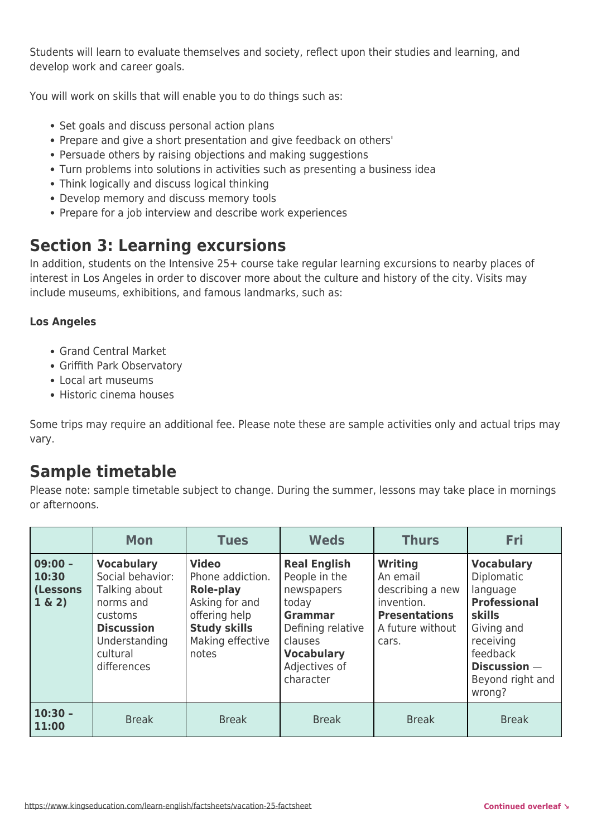Students will learn to evaluate themselves and society, reflect upon their studies and learning, and develop work and career goals.

You will work on skills that will enable you to do things such as:

- Set goals and discuss personal action plans
- Prepare and give a short presentation and give feedback on others'
- Persuade others by raising objections and making suggestions
- Turn problems into solutions in activities such as presenting a business idea
- Think logically and discuss logical thinking
- Develop memory and discuss memory tools
- Prepare for a job interview and describe work experiences

## **Section 3: Learning excursions**

In addition, students on the Intensive 25+ course take regular learning excursions to nearby places of interest in Los Angeles in order to discover more about the culture and history of the city. Visits may include museums, exhibitions, and famous landmarks, such as:

#### **Los Angeles**

- Grand Central Market
- Griffith Park Observatory
- Local art museums
- Historic cinema houses

Some trips may require an additional fee. Please note these are sample activities only and actual trips may vary.

### **Sample timetable**

Please note: sample timetable subject to change. During the summer, lessons may take place in mornings or afternoons.

|                                                 | <b>Mon</b>                                                                                                                                      | <b>Tues</b>                                                                                                                          | <b>Weds</b>                                                                                                                                                      | <b>Thurs</b>                                                                                                      | <b>Fri</b>                                                                                                                                                               |
|-------------------------------------------------|-------------------------------------------------------------------------------------------------------------------------------------------------|--------------------------------------------------------------------------------------------------------------------------------------|------------------------------------------------------------------------------------------------------------------------------------------------------------------|-------------------------------------------------------------------------------------------------------------------|--------------------------------------------------------------------------------------------------------------------------------------------------------------------------|
| $09:00 -$<br>10:30<br><b>(Lessons</b><br>1 & 2) | <b>Vocabulary</b><br>Social behavior:<br>Talking about<br>norms and<br>customs<br><b>Discussion</b><br>Understanding<br>cultural<br>differences | <b>Video</b><br>Phone addiction.<br>Role-play<br>Asking for and<br>offering help<br><b>Study skills</b><br>Making effective<br>notes | <b>Real English</b><br>People in the<br>newspapers<br>today<br><b>Grammar</b><br>Defining relative<br>clauses<br><b>Vocabulary</b><br>Adjectives of<br>character | <b>Writing</b><br>An email<br>describing a new<br>invention.<br><b>Presentations</b><br>A future without<br>cars. | <b>Vocabulary</b><br>Diplomatic<br>language<br><b>Professional</b><br><b>skills</b><br>Giving and<br>receiving<br>feedback<br>Discussion -<br>Beyond right and<br>wrong? |
| $10:30 -$<br>11:00                              | <b>Break</b>                                                                                                                                    | <b>Break</b>                                                                                                                         | <b>Break</b>                                                                                                                                                     | <b>Break</b>                                                                                                      | <b>Break</b>                                                                                                                                                             |